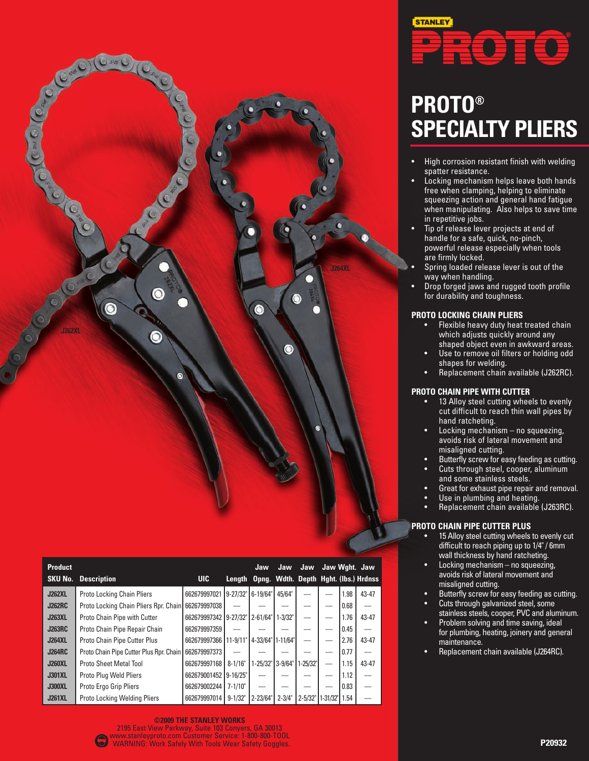

| <b>Product</b> |                                         |                       |               | Jaw                                          | Jaw          | Jaw          | Jaw Wght. Jaw |      |           |
|----------------|-----------------------------------------|-----------------------|---------------|----------------------------------------------|--------------|--------------|---------------|------|-----------|
| <b>SKU No.</b> | <b>Description</b>                      | UIC.                  |               | Length Opng. Wdth. Depth Hght. (Ibs.) Hrdnss |              |              |               |      |           |
| <b>J262XL</b>  | <b>Proto Locking Chain Pliers</b>       | 662679997021          | $9 - 27/32$ " | 6-19/64"                                     | 45/64"       |              |               | 1.98 | $43 - 47$ |
| <b>J262RC</b>  | Proto Locking Chain Pliers Rpr. Chain   | 662679997038          |               |                                              |              |              |               | 0.68 |           |
| <b>J263XL</b>  | Proto Chain Pipe with Cutter            | 662679997342 9-27/32  |               | $12 - 61/64"$                                | $1 - 3/32"$  |              |               | 1.76 | $43 - 47$ |
| <b>J263RC</b>  | Proto Chain Pipe Repair Chain           | 662679997359          |               |                                              |              |              |               | 0.45 |           |
| <b>J264XL</b>  | Proto Chain Pipe Cutter Plus            | 662679997366 111-9/11 |               | 4-33/64"                                     | $1 - 11/64"$ |              |               | 2.76 | $43 - 47$ |
| <b>J264RC</b>  | Proto Chain Pipe Cutter Plus Rpr. Chain | 662679997373          |               |                                              |              |              |               | 0.77 |           |
| <b>J260XL</b>  | <b>Proto Sheet Metal Tool</b>           | 662679997168          | $8 - 1/16"$   | $1 - 25/32"$                                 | $3 - 9/64"$  | $1 - 25/32"$ |               | 1.15 | $43 - 47$ |
| <b>J301XL</b>  | Proto Plug Weld Pliers                  | 662679001452          | $9 - 16/25"$  |                                              |              |              |               | 1.12 |           |
| <b>J300XL</b>  | Proto Ergo Grip Pliers                  | 662679002244          | $7 - 1/10"$   |                                              |              |              |               | 0.83 |           |
| <b>J261XL</b>  | <b>Proto Locking Welding Pliers</b>     | 662679997014          | $9 - 1/32"$   | $2 - 23/64$                                  | $2 - 3/4"$   | $2 - 5/32"$  | $1 - 31/32"$  | 1.54 |           |



# **PROTO® SPECIALTY PLIERS**

- High corrosion resistant finish with welding spatter resistance.
- Locking mechanism helps leave both hands free when clamping, helping to eliminate squeezing action and general hand fatigue when manipulating. Also helps to save time in repetitive jobs.
- Tip of release lever projects at end of handle for a safe, quick, no-pinch, powerful release especially when tools are firmly locked.
- Spring loaded release lever is out of the way when handling.
- Drop forged jaws and rugged tooth profile for durability and toughness.

### **PROTO LOCKING CHAIN PLIERS**

- Flexible heavy duty heat treated chain which adjusts quickly around any shaped object even in awkward areas.
- Use to remove oil filters or holding odd shapes for welding.
- Replacement chain available (J262RC).

## **PROTO CHAIN PIPE WITH CUTTER**

- 13 Alloy steel cutting wheels to evenly cut difficult to reach thin wall pipes by hand ratcheting.
- Locking mechanism no squeezing, avoids risk of lateral movement and misaligned cutting.
- Butterfly screw for easy feeding as cutting.
- Cuts through steel, cooper, aluminum
- and some stainless steels. • Great for exhaust pipe repair and removal.
- Use in plumbing and heating.
- Replacement chain available (J263RC).

# **PROTO CHAIN PIPE CUTTER PLUS**

- 15 Alloy steel cutting wheels to evenly cut difficult to reach piping up to 1/4" / 6mm wall thickness by hand ratcheting.
- Locking mechanism no squeezing, avoids risk of lateral movement and misaligned cutting.
- Butterfly screw for easy feeding as cutting.
- Cuts through galvanized steel, some stainless steels, cooper, PVC and aluminum.
- Problem solving and time saving, ideal for plumbing, heating, joinery and general maintenance.
- Replacement chain available (J264RC).